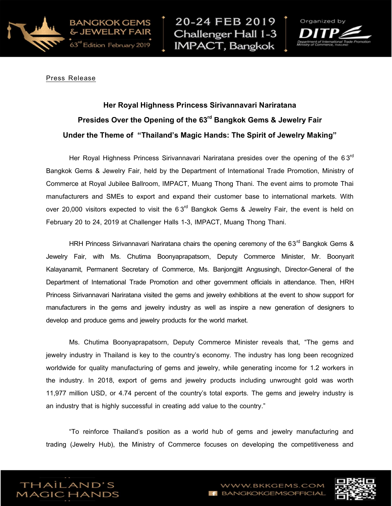

20-24 FEB 2019 Challenger Hall 1-3 **IMPACT, Bangkok** 



Press Release

## Her Royal Highness Princess Sirivannavari Nariratana Presides Over the Opening of the 63<sup>rd</sup> Bangkok Gems & Jewelry Fair Under the Theme of "Thailand's Magic Hands: The Spirit of Jewelry Making"

Her Royal Highness Princess Sirivannavari Nariratana presides over the opening of the 63<sup>rd</sup> Bangkok Gems & Jewelry Fair, held by the Department of International Trade Promotion, Ministry of Commerce at Royal Jubilee Ballroom, IMPACT, Muang Thong Thani. The event aims to promote Thai manufacturers and SMEs to export and expand their customer base to international markets. With over 20,000 visitors expected to visit the 6 3 $^{\text{rd}}$  Bangkok Gems & Jewelry Fair, the event is held on February 20 to 24, 2019 at Challenger Halls 1-3, IMPACT, Muang Thong Thani.

HRH Princess Sirivannavari Nariratana chairs the opening ceremony of the 63<sup>rd</sup> Bangkok Gems & Jewelry Fair, with Ms. Chutima Boonyaprapatsorn, Deputy Commerce Minister, Mr. Boonyarit Kalayanamit, Permanent Secretary of Commerce, Ms. Banjongjitt Angsusingh, Director-General of the Department of International Trade Promotion and other government officials in attendance. Then, HRH Princess Sirivannavari Nariratana visited the gems and jewelry exhibitions at the event to show support for manufacturers in the gems and jewelry industry as well as inspire a new generation of designers to develop and produce gems and jewelry products for the world market.

Ms. Chutima Boonyaprapatsorn, Deputy Commerce Minister reveals that, "The gems and jewelry industry in Thailand is key to the country's economy. The industry has long been recognized worldwide for quality manufacturing of gems and jewelry, while generating income for 1.2 workers in the industry. In 2018, export of gems and jewelry products including unwrought gold was worth 11,977 million USD, or 4.74 percent of the country's total exports. The gems and jewelry industry is an industry that is highly successful in creating add value to the country."

"To reinforce Thailand's position as a world hub of gems and jewelry manufacturing and trading (Jewelry Hub), the Ministry of Commerce focuses on developing the competitiveness and



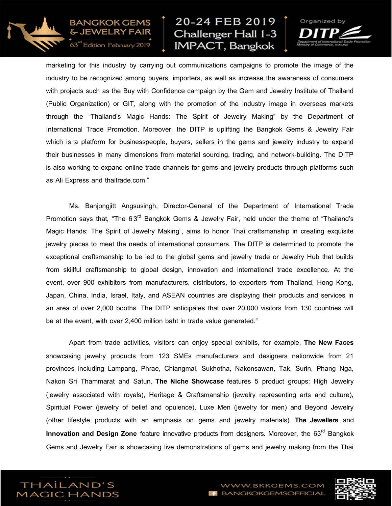

BANGKOK GEMS

63" Edition February 2019

## 20-24 FEB 2019 Challenger Hall 1-3 **IMPACT**, Bangkok



marketing for this industry by carrying out communications campaigns to promote the image of the industry to be recognized among buyers, importers, as well as increase the awareness of consumers with projects such as the Buy with Confidence campaign by the Gem and Jewelry Institute of Thailand (Public Organization) or GIT, along with the promotion of the industry image in overseas markets through the "Thailand's Magic Hands: The Spirit of Jewelry Making" by the Department of International Trade Promotion. Moreover, the DITP is uplifting the Bangkok Gems & Jewelry Fair which is a platform for businesspeople, buyers, sellers in the gems and jewelry industry to expand their businesses in many dimensions from material sourcing, trading, and network-building. The DITP is also working to expand online trade channels for gems and jewelry products through platforms such as Ali Express and thaitrade.com."

Ms. Banjongjitt Angsusingh, Director-General of the Department of International Trade Promotion says that, "The 6 $3^{\mathsf{rd}}$  Bangkok Gems & Jewelry Fair, held under the theme of "Thailand's Magic Hands: The Spirit of Jewelry Making", aims to honor Thai craftsmanship in creating exquisite jewelry pieces to meet the needs of international consumers. The DITP is determined to promote the exceptional craftsmanship to be led to the global gems and jewelry trade or Jewelry Hub that builds from skillful craftsmanship to global design, innovation and international trade excellence. At the event, over 900 exhibitors from manufacturers, distributors, to exporters from Thailand, Hong Kong, Japan, China, India, Israel, Italy, and ASEAN countries are displaying their products and services in an area of over 2,000 booths. The DITP anticipates that over 20,000 visitors from 130 countries will be at the event, with over 2,400 million baht in trade value generated."

Apart from trade activities, visitors can enjoy special exhibits, for example, The New Faces showcasing jewelry products from 123 SMEs manufacturers and designers nationwide from 21 provinces including Lampang, Phrae, Chiangmai, Sukhotha, Nakonsawan, Tak, Surin, Phang Nga, Nakon Sri Thammarat and Satun. The Niche Showcase features 5 product groups: High Jewelry (jewelry associated with royals), Heritage & Craftsmanship (jewelry representing arts and culture), Spiritual Power (jewelry of belief and opulence), Luxe Men (jewelry for men) and Beyond Jewelry (other lifestyle products with an emphasis on gems and jewelry materials). The Jewellers and Innovation and Design Zone feature innovative products from designers. Moreover, the 63<sup>rd</sup> Bangkok Gems and Jewelry Fair is showcasing live demonstrations of gems and jewelry making from the Thai